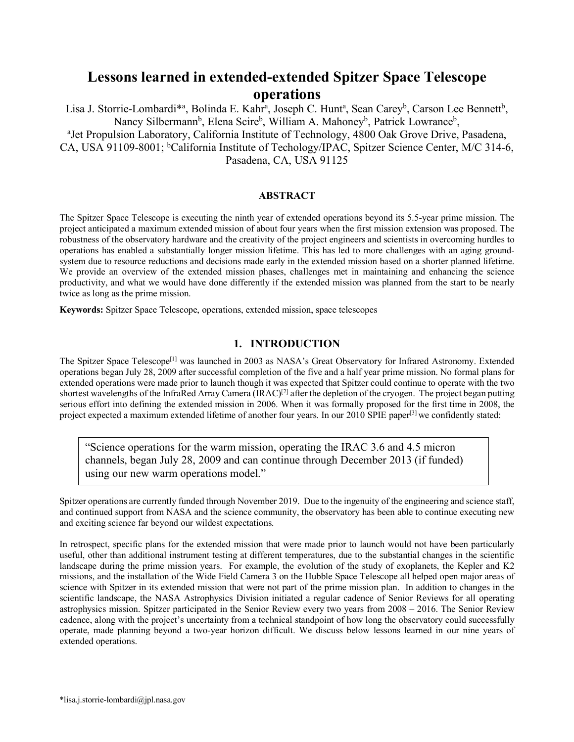# **Lessons learned in extended-extended Spitzer Space Telescope operations**

Lisa J. Storrie-Lombardi\*<sup>a</sup>, Bolinda E. Kahr<sup>a</sup>, Joseph C. Hunt<sup>a</sup>, Sean Carey<sup>b</sup>, Carson Lee Bennett<sup>b</sup>, Nancy Silbermann<sup>b</sup>, Elena Scire<sup>b</sup>, William A. Mahoney<sup>b</sup>, Patrick Lowrance<sup>b</sup>, <sup>a</sup> Jet Propulsion Laboratory, California Institute of Technology, 4800 Oak Grove Drive, Pasadena, CA, USA 91109-8001; <sup>b</sup>California Institute of Techology/IPAC, Spitzer Science Center, M/C 314-6, Pasadena, CA, USA 91125

### **ABSTRACT**

The Spitzer Space Telescope is executing the ninth year of extended operations beyond its 5.5-year prime mission. The project anticipated a maximum extended mission of about four years when the first mission extension was proposed. The robustness of the observatory hardware and the creativity of the project engineers and scientists in overcoming hurdles to operations has enabled a substantially longer mission lifetime. This has led to more challenges with an aging groundsystem due to resource reductions and decisions made early in the extended mission based on a shorter planned lifetime. We provide an overview of the extended mission phases, challenges met in maintaining and enhancing the science productivity, and what we would have done differently if the extended mission was planned from the start to be nearly twice as long as the prime mission.

**Keywords:** Spitzer Space Telescope, operations, extended mission, space telescopes

## **1. INTRODUCTION**

The Spitzer Space Telescope<sup>[1]</sup> was launched in 2003 as NASA's Great Observatory for Infrared Astronomy. Extended operations began July 28, 2009 after successful completion of the five and a half year prime mission. No formal plans for extended operations were made prior to launch though it was expected that Spitzer could continue to operate with the two shortest wavelengths of the InfraRed Array Camera  $(IRAC)^{[2]}$  after the depletion of the cryogen. The project began putting serious effort into defining the extended mission in 2006. When it was formally proposed for the first time in 2008, the project expected a maximum extended lifetime of another four years. In our 2010 SPIE paper<sup>[3]</sup> we confidently stated:

"Science operations for the warm mission, operating the IRAC 3.6 and 4.5 micron channels, began July 28, 2009 and can continue through December 2013 (if funded) using our new warm operations model."

Spitzer operations are currently funded through November 2019. Due to the ingenuity of the engineering and science staff, and continued support from NASA and the science community, the observatory has been able to continue executing new and exciting science far beyond our wildest expectations.

In retrospect, specific plans for the extended mission that were made prior to launch would not have been particularly useful, other than additional instrument testing at different temperatures, due to the substantial changes in the scientific landscape during the prime mission years. For example, the evolution of the study of exoplanets, the Kepler and K2 missions, and the installation of the Wide Field Camera 3 on the Hubble Space Telescope all helped open major areas of science with Spitzer in its extended mission that were not part of the prime mission plan. In addition to changes in the scientific landscape, the NASA Astrophysics Division initiated a regular cadence of Senior Reviews for all operating astrophysics mission. Spitzer participated in the Senior Review every two years from 2008 – 2016. The Senior Review cadence, along with the project's uncertainty from a technical standpoint of how long the observatory could successfully operate, made planning beyond a two-year horizon difficult. We discuss below lessons learned in our nine years of extended operations.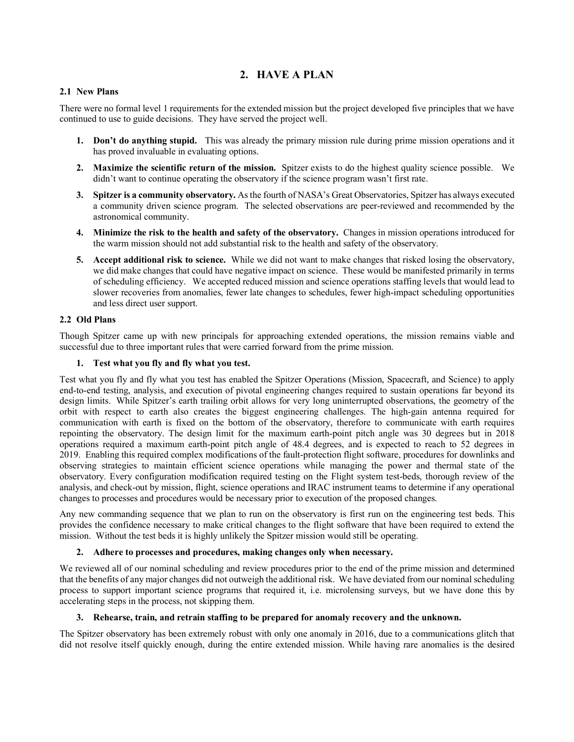## **2. HAVE A PLAN**

#### **2.1 New Plans**

There were no formal level 1 requirements for the extended mission but the project developed five principles that we have continued to use to guide decisions. They have served the project well.

- **1. Don't do anything stupid.** This was already the primary mission rule during prime mission operations and it has proved invaluable in evaluating options.
- **2. Maximize the scientific return of the mission.** Spitzer exists to do the highest quality science possible. We didn't want to continue operating the observatory if the science program wasn't first rate.
- **3. Spitzer is a community observatory.** As the fourth of NASA's Great Observatories, Spitzer has always executed a community driven science program. The selected observations are peer-reviewed and recommended by the astronomical community.
- **4. Minimize the risk to the health and safety of the observatory.** Changes in mission operations introduced for the warm mission should not add substantial risk to the health and safety of the observatory.
- **5. Accept additional risk to science.** While we did not want to make changes that risked losing the observatory, we did make changes that could have negative impact on science. These would be manifested primarily in terms of scheduling efficiency. We accepted reduced mission and science operations staffing levels that would lead to slower recoveries from anomalies, fewer late changes to schedules, fewer high-impact scheduling opportunities and less direct user support.

#### **2.2 Old Plans**

Though Spitzer came up with new principals for approaching extended operations, the mission remains viable and successful due to three important rules that were carried forward from the prime mission.

### **1. Test what you fly and fly what you test.**

Test what you fly and fly what you test has enabled the Spitzer Operations (Mission, Spacecraft, and Science) to apply end-to-end testing, analysis, and execution of pivotal engineering changes required to sustain operations far beyond its design limits. While Spitzer's earth trailing orbit allows for very long uninterrupted observations, the geometry of the orbit with respect to earth also creates the biggest engineering challenges. The high-gain antenna required for communication with earth is fixed on the bottom of the observatory, therefore to communicate with earth requires repointing the observatory. The design limit for the maximum earth-point pitch angle was 30 degrees but in 2018 operations required a maximum earth-point pitch angle of 48.4 degrees, and is expected to reach to 52 degrees in 2019. Enabling this required complex modifications of the fault-protection flight software, procedures for downlinks and observing strategies to maintain efficient science operations while managing the power and thermal state of the observatory. Every configuration modification required testing on the Flight system test-beds, thorough review of the analysis, and check-out by mission, flight, science operations and IRAC instrument teams to determine if any operational changes to processes and procedures would be necessary prior to execution of the proposed changes.

Any new commanding sequence that we plan to run on the observatory is first run on the engineering test beds. This provides the confidence necessary to make critical changes to the flight software that have been required to extend the mission. Without the test beds it is highly unlikely the Spitzer mission would still be operating.

#### **2. Adhere to processes and procedures, making changes only when necessary.**

We reviewed all of our nominal scheduling and review procedures prior to the end of the prime mission and determined that the benefits of any major changes did not outweigh the additional risk. We have deviated from our nominal scheduling process to support important science programs that required it, i.e. microlensing surveys, but we have done this by accelerating steps in the process, not skipping them.

#### **3. Rehearse, train, and retrain staffing to be prepared for anomaly recovery and the unknown.**

The Spitzer observatory has been extremely robust with only one anomaly in 2016, due to a communications glitch that did not resolve itself quickly enough, during the entire extended mission. While having rare anomalies is the desired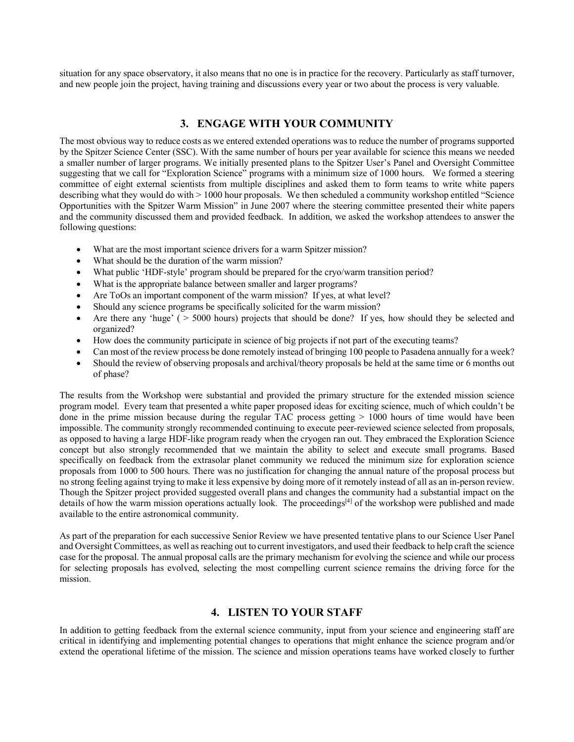situation for any space observatory, it also means that no one is in practice for the recovery. Particularly as staff turnover, and new people join the project, having training and discussions every year or two about the process is very valuable.

## **3. ENGAGE WITH YOUR COMMUNITY**

The most obvious way to reduce costs as we entered extended operations was to reduce the number of programs supported by the Spitzer Science Center (SSC). With the same number of hours per year available for science this means we needed a smaller number of larger programs. We initially presented plans to the Spitzer User's Panel and Oversight Committee suggesting that we call for "Exploration Science" programs with a minimum size of 1000 hours. We formed a steering committee of eight external scientists from multiple disciplines and asked them to form teams to write white papers describing what they would do with > 1000 hour proposals. We then scheduled a community workshop entitled "Science Opportunities with the Spitzer Warm Mission" in June 2007 where the steering committee presented their white papers and the community discussed them and provided feedback. In addition, we asked the workshop attendees to answer the following questions:

- What are the most important science drivers for a warm Spitzer mission?
- What should be the duration of the warm mission?
- What public 'HDF-style' program should be prepared for the cryo/warm transition period?
- What is the appropriate balance between smaller and larger programs?
- Are ToOs an important component of the warm mission? If yes, at what level?
- Should any science programs be specifically solicited for the warm mission?
- Are there any 'huge' ( $> 5000$  hours) projects that should be done? If yes, how should they be selected and organized?
- How does the community participate in science of big projects if not part of the executing teams?
- Can most of the review process be done remotely instead of bringing 100 people to Pasadena annually for a week?
- Should the review of observing proposals and archival/theory proposals be held at the same time or 6 months out of phase?

The results from the Workshop were substantial and provided the primary structure for the extended mission science program model. Every team that presented a white paper proposed ideas for exciting science, much of which couldn't be done in the prime mission because during the regular TAC process getting > 1000 hours of time would have been impossible. The community strongly recommended continuing to execute peer-reviewed science selected from proposals, as opposed to having a large HDF-like program ready when the cryogen ran out. They embraced the Exploration Science concept but also strongly recommended that we maintain the ability to select and execute small programs. Based specifically on feedback from the extrasolar planet community we reduced the minimum size for exploration science proposals from 1000 to 500 hours. There was no justification for changing the annual nature of the proposal process but no strong feeling against trying to make it less expensive by doing more of it remotely instead of all as an in-person review. Though the Spitzer project provided suggested overall plans and changes the community had a substantial impact on the details of how the warm mission operations actually look. The proceedings<sup>[4]</sup> of the workshop were published and made available to the entire astronomical community.

As part of the preparation for each successive Senior Review we have presented tentative plans to our Science User Panel and Oversight Committees, as well as reaching out to current investigators, and used their feedback to help craft the science case for the proposal. The annual proposal calls are the primary mechanism for evolving the science and while our process for selecting proposals has evolved, selecting the most compelling current science remains the driving force for the mission.

## **4. LISTEN TO YOUR STAFF**

In addition to getting feedback from the external science community, input from your science and engineering staff are critical in identifying and implementing potential changes to operations that might enhance the science program and/or extend the operational lifetime of the mission. The science and mission operations teams have worked closely to further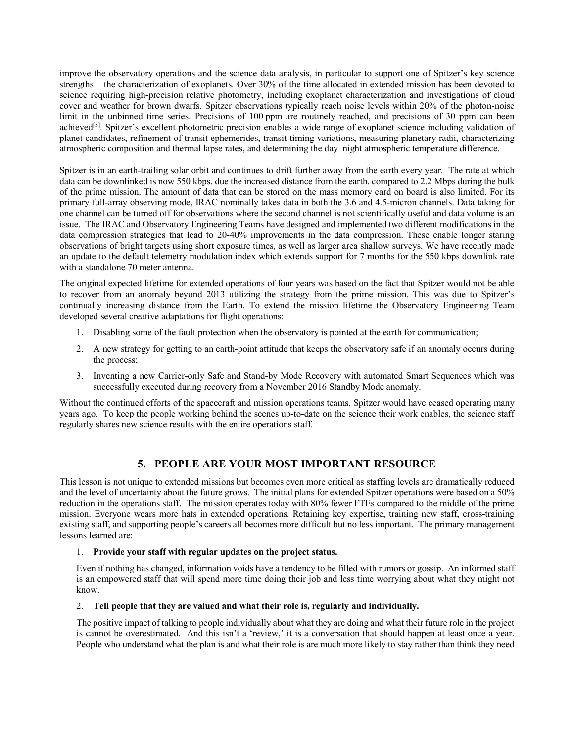improve the observatory operations and the science data analysis, in particular to support one of Spitzer's key science strengths – the characterization of exoplanets. Over 30% of the time allocated in extended mission has been devoted to science requiring high-precision relative photometry, including exoplanet characterization and investigations of cloud cover and weather for brown dwarfs. Spitzer observations typically reach noise levels within 20% of the photon-noise limit in the unbinned time series. Precisions of 100 ppm are routinely reached, and precisions of 30 ppm can been achieved<sup>[5]</sup>. Spitzer's excellent photometric precision enables a wide range of exoplanet science including validation of planet candidates, refinement of transit ephemerides, transit timing variations, measuring planetary radii, characterizing atmospheric composition and thermal lapse rates, and determining the day–night atmospheric temperature difference.

Spitzer is in an earth-trailing solar orbit and continues to drift further away from the earth every year. The rate at which data can be downlinked is now 550 kbps, due the increased distance from the earth, compared to 2.2 Mbps during the bulk of the prime mission. The amount of data that can be stored on the mass memory card on board is also limited. For its primary full-array observing mode, IRAC nominally takes data in both the 3.6 and 4.5-micron channels. Data taking for one channel can be turned off for observations where the second channel is not scientifically useful and data volume is an issue. The IRAC and Observatory Engineering Teams have designed and implemented two different modifications in the data compression strategies that lead to 20-40% improvements in the data compression. These enable longer staring observations of bright targets using short exposure times, as well as larger area shallow surveys. We have recently made an update to the default telemetry modulation index which extends support for 7 months for the 550 kbps downlink rate with a standalone 70 meter antenna.

The original expected lifetime for extended operations of four years was based on the fact that Spitzer would not be able to recover from an anomaly beyond 2013 utilizing the strategy from the prime mission. This was due to Spitzer's continually increasing distance from the Earth. To extend the mission lifetime the Observatory Engineering Team developed several creative adaptations for flight operations:

- 1. Disabling some of the fault protection when the observatory is pointed at the earth for communication;
- 2. A new strategy for getting to an earth-point attitude that keeps the observatory safe if an anomaly occurs during the process;
- 3. Inventing a new Carrier-only Safe and Stand-by Mode Recovery with automated Smart Sequences which was successfully executed during recovery from a November 2016 Standby Mode anomaly.

Without the continued efforts of the spacecraft and mission operations teams, Spitzer would have ceased operating many years ago. To keep the people working behind the scenes up-to-date on the science their work enables, the science staff regularly shares new science results with the entire operations staff.

## **5. PEOPLE ARE YOUR MOST IMPORTANT RESOURCE**

This lesson is not unique to extended missions but becomes even more critical as staffing levels are dramatically reduced and the level of uncertainty about the future grows. The initial plans for extended Spitzer operations were based on a 50% reduction in the operations staff. The mission operates today with 80% fewer FTEs compared to the middle of the prime mission. Everyone wears more hats in extended operations. Retaining key expertise, training new staff, cross-training existing staff, and supporting people's careers all becomes more difficult but no less important. The primary management lessons learned are:

#### 1. **Provide your staff with regular updates on the project status.**

Even if nothing has changed, information voids have a tendency to be filled with rumors or gossip. An informed staff is an empowered staff that will spend more time doing their job and less time worrying about what they might not know.

#### 2. **Tell people that they are valued and what their role is, regularly and individually.**

The positive impact of talking to people individually about what they are doing and what their future role in the project is cannot be overestimated. And this isn't a 'review,' it is a conversation that should happen at least once a year. People who understand what the plan is and what their role is are much more likely to stay rather than think they need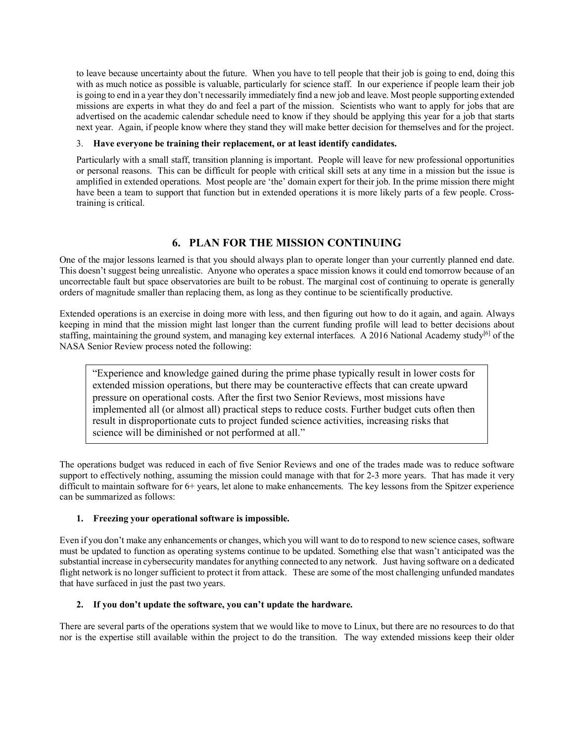to leave because uncertainty about the future. When you have to tell people that their job is going to end, doing this with as much notice as possible is valuable, particularly for science staff. In our experience if people learn their job is going to end in a year they don't necessarily immediately find a new job and leave. Most people supporting extended missions are experts in what they do and feel a part of the mission. Scientists who want to apply for jobs that are advertised on the academic calendar schedule need to know if they should be applying this year for a job that starts next year. Again, if people know where they stand they will make better decision for themselves and for the project.

#### 3. **Have everyone be training their replacement, or at least identify candidates.**

Particularly with a small staff, transition planning is important. People will leave for new professional opportunities or personal reasons. This can be difficult for people with critical skill sets at any time in a mission but the issue is amplified in extended operations. Most people are 'the' domain expert for their job. In the prime mission there might have been a team to support that function but in extended operations it is more likely parts of a few people. Crosstraining is critical.

## **6. PLAN FOR THE MISSION CONTINUING**

One of the major lessons learned is that you should always plan to operate longer than your currently planned end date. This doesn't suggest being unrealistic. Anyone who operates a space mission knows it could end tomorrow because of an uncorrectable fault but space observatories are built to be robust. The marginal cost of continuing to operate is generally orders of magnitude smaller than replacing them, as long as they continue to be scientifically productive.

Extended operations is an exercise in doing more with less, and then figuring out how to do it again, and again. Always keeping in mind that the mission might last longer than the current funding profile will lead to better decisions about staffing, maintaining the ground system, and managing key external interfaces. A 2016 National Academy study<sup>[6]</sup> of the NASA Senior Review process noted the following:

"Experience and knowledge gained during the prime phase typically result in lower costs for extended mission operations, but there may be counteractive effects that can create upward pressure on operational costs. After the first two Senior Reviews, most missions have implemented all (or almost all) practical steps to reduce costs. Further budget cuts often then result in disproportionate cuts to project funded science activities, increasing risks that science will be diminished or not performed at all."

The operations budget was reduced in each of five Senior Reviews and one of the trades made was to reduce software support to effectively nothing, assuming the mission could manage with that for 2-3 more years. That has made it very difficult to maintain software for 6+ years, let alone to make enhancements. The key lessons from the Spitzer experience can be summarized as follows:

#### **1. Freezing your operational software is impossible.**

Even if you don't make any enhancements or changes, which you will want to do to respond to new science cases, software must be updated to function as operating systems continue to be updated. Something else that wasn't anticipated was the substantial increase in cybersecurity mandates for anything connected to any network. Just having software on a dedicated flight network is no longer sufficient to protect it from attack. These are some of the most challenging unfunded mandates that have surfaced in just the past two years.

#### **2. If you don't update the software, you can't update the hardware.**

There are several parts of the operations system that we would like to move to Linux, but there are no resources to do that nor is the expertise still available within the project to do the transition. The way extended missions keep their older